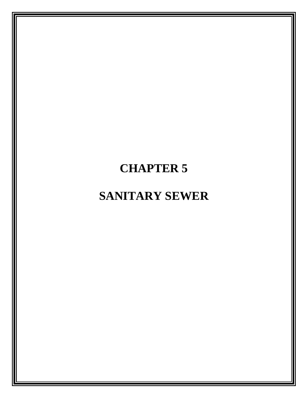# **CHAPTER 5**

# **SANITARY SEWER**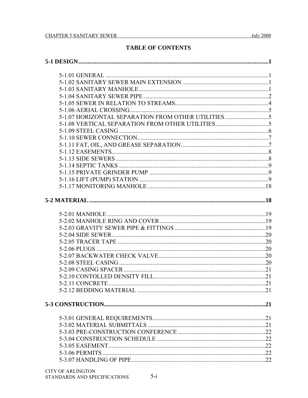# **TABLE OF CONTENTS**

| 5-1.07 HORIZONTAL SEPARATION FROM OTHER UTILITIES |  |  |
|---------------------------------------------------|--|--|
| 5-1.08 VERTICAL SEPARATION FROM OTHER UTILITIES5  |  |  |
|                                                   |  |  |
|                                                   |  |  |
|                                                   |  |  |
|                                                   |  |  |
|                                                   |  |  |
|                                                   |  |  |
|                                                   |  |  |
|                                                   |  |  |
|                                                   |  |  |
|                                                   |  |  |
|                                                   |  |  |
|                                                   |  |  |
|                                                   |  |  |
|                                                   |  |  |
|                                                   |  |  |
|                                                   |  |  |
|                                                   |  |  |
|                                                   |  |  |
|                                                   |  |  |
|                                                   |  |  |
|                                                   |  |  |
|                                                   |  |  |
|                                                   |  |  |
|                                                   |  |  |
|                                                   |  |  |
|                                                   |  |  |
|                                                   |  |  |
|                                                   |  |  |
|                                                   |  |  |
|                                                   |  |  |
|                                                   |  |  |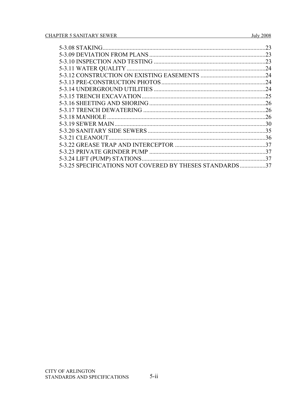|                                                       | 23  |
|-------------------------------------------------------|-----|
|                                                       | 23  |
|                                                       | .23 |
|                                                       | 24  |
|                                                       | 24  |
|                                                       | 24  |
|                                                       | .24 |
|                                                       | .25 |
|                                                       | .26 |
|                                                       | .26 |
|                                                       | .26 |
|                                                       | .30 |
|                                                       | 35  |
| 5-3.21 CLEANOUT.                                      | .36 |
|                                                       | 37  |
|                                                       | 37  |
| 5-3.24 LIFT (PUMP) STATIONS                           | 37  |
| 5-3.25 SPECIFICATIONS NOT COVERED BY THESES STANDARDS | 37  |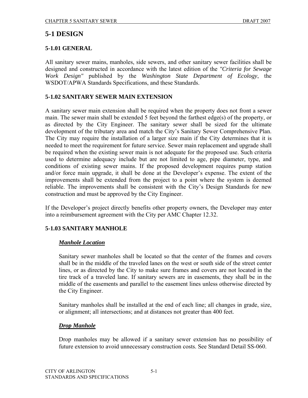# **5-1 DESIGN**

## **5-1.01 GENERAL**

All sanitary sewer mains, manholes, side sewers, and other sanitary sewer facilities shall be designed and constructed in accordance with the latest edition of the *"Criteria for Sewage Work Design"* published by the *Washington State Department of Ecology*, the WSDOT/APWA Standards Specifications, and these Standards.

## **5-1.02 SANITARY SEWER MAIN EXTENSION**

A sanitary sewer main extension shall be required when the property does not front a sewer main. The sewer main shall be extended 5 feet beyond the farthest edge(s) of the property, or as directed by the City Engineer. The sanitary sewer shall be sized for the ultimate development of the tributary area and match the City's Sanitary Sewer Comprehensive Plan. The City may require the installation of a larger size main if the City determines that it is needed to meet the requirement for future service. Sewer main replacement and upgrade shall be required when the existing sewer main is not adequate for the proposed use. Such criteria used to determine adequacy include but are not limited to age, pipe diameter, type, and conditions of existing sewer mains. If the proposed development requires pump station and/or force main upgrade, it shall be done at the Developer's expense. The extent of the improvements shall be extended from the project to a point where the system is deemed reliable. The improvements shall be consistent with the City's Design Standards for new construction and must be approved by the City Engineer.

If the Developer's project directly benefits other property owners, the Developer may enter into a reimbursement agreement with the City per AMC Chapter 12.32.

# **5-1.03 SANITARY MANHOLE**

#### *Manhole Location*

Sanitary sewer manholes shall be located so that the center of the frames and covers shall be in the middle of the traveled lanes on the west or south side of the street center lines, or as directed by the City to make sure frames and covers are not located in the tire track of a traveled lane. If sanitary sewers are in easements, they shall be in the middle of the easements and parallel to the easement lines unless otherwise directed by the City Engineer.

Sanitary manholes shall be installed at the end of each line; all changes in grade, size, or alignment; all intersections; and at distances not greater than 400 feet.

#### *Drop Manhole*

Drop manholes may be allowed if a sanitary sewer extension has no possibility of future extension to avoid unnecessary construction costs. See Standard Detail SS-060.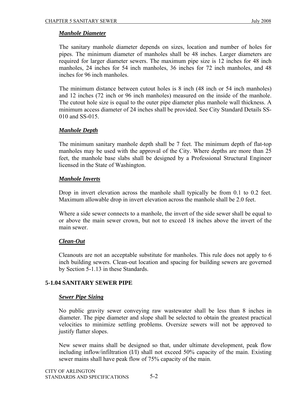## *Manhole Diameter*

The sanitary manhole diameter depends on sizes, location and number of holes for pipes. The minimum diameter of manholes shall be 48 inches. Larger diameters are required for larger diameter sewers. The maximum pipe size is 12 inches for 48 inch manholes, 24 inches for 54 inch manholes, 36 inches for 72 inch manholes, and 48 inches for 96 inch manholes.

The minimum distance between cutout holes is 8 inch (48 inch or 54 inch manholes) and 12 inches (72 inch or 96 inch manholes) measured on the inside of the manhole. The cutout hole size is equal to the outer pipe diameter plus manhole wall thickness. A minimum access diameter of 24 inches shall be provided. See City Standard Details SS-010 and SS-015.

## *Manhole Depth*

The minimum sanitary manhole depth shall be 7 feet. The minimum depth of flat-top manholes may be used with the approval of the City. Where depths are more than 25 feet, the manhole base slabs shall be designed by a Professional Structural Engineer licensed in the State of Washington.

## *Manhole Inverts*

Drop in invert elevation across the manhole shall typically be from 0.1 to 0.2 feet. Maximum allowable drop in invert elevation across the manhole shall be 2.0 feet.

Where a side sewer connects to a manhole, the invert of the side sewer shall be equal to or above the main sewer crown, but not to exceed 18 inches above the invert of the main sewer.

# *Clean-Out*

Cleanouts are not an acceptable substitute for manholes. This rule does not apply to 6 inch building sewers. Clean-out location and spacing for building sewers are governed by Section 5-1.13 in these Standards.

# **5-1.04 SANITARY SEWER PIPE**

#### *Sewer Pipe Sizing*

No public gravity sewer conveying raw wastewater shall be less than 8 inches in diameter. The pipe diameter and slope shall be selected to obtain the greatest practical velocities to minimize settling problems. Oversize sewers will not be approved to justify flatter slopes.

New sewer mains shall be designed so that, under ultimate development, peak flow including inflow/infiltration (I/I) shall not exceed 50% capacity of the main. Existing sewer mains shall have peak flow of 75% capacity of the main.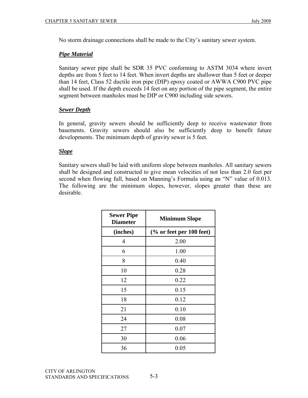No storm drainage connections shall be made to the City's sanitary sewer system.

## *Pipe Material*

Sanitary sewer pipe shall be SDR 35 PVC conforming to ASTM 3034 where invert depths are from 5 feet to 14 feet. When invert depths are shallower than 5 feet or deeper than 14 feet, Class 52 ductile iron pipe (DIP) epoxy coated or AWWA C900 PVC pipe shall be used. If the depth exceeds 14 feet on any portion of the pipe segment, the entire segment between manholes must be DIP or C900 including side sewers.

## *Sewer Depth*

In general, gravity sewers should be sufficiently deep to receive wastewater from basements. Gravity sewers should also be sufficiently deep to benefit future developments. The minimum depth of gravity sewer is 5 feet.

## *Slope*

Sanitary sewers shall be laid with uniform slope between manholes. All sanitary sewers shall be designed and constructed to give mean velocities of not less than 2.0 feet per second when flowing full, based on Manning's Formula using an "N" value of 0.013. The following are the minimum slopes, however, slopes greater than these are desirable.

| <b>Sewer Pipe</b><br><b>Diameter</b> | <b>Minimum Slope</b>     |
|--------------------------------------|--------------------------|
| (inches)                             | (% or feet per 100 feet) |
| 4                                    | 2.00                     |
| 6                                    | 1.00                     |
| 8                                    | 0.40                     |
| 10                                   | 0.28                     |
| 12                                   | 0.22                     |
| 15                                   | 0.15                     |
| 18                                   | 0.12                     |
| 21                                   | 0.10                     |
| 24                                   | 0.08                     |
| 27                                   | 0.07                     |
| 30                                   | 0.06                     |
| 36                                   | 0.05                     |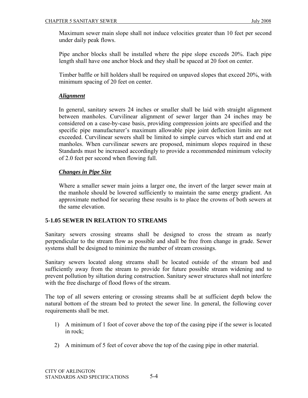Maximum sewer main slope shall not induce velocities greater than 10 feet per second under daily peak flows.

Pipe anchor blocks shall be installed where the pipe slope exceeds 20%. Each pipe length shall have one anchor block and they shall be spaced at 20 foot on center.

Timber baffle or hill holders shall be required on unpaved slopes that exceed 20%, with minimum spacing of 20 feet on center.

# *Alignment*

In general, sanitary sewers 24 inches or smaller shall be laid with straight alignment between manholes. Curvilinear alignment of sewer larger than 24 inches may be considered on a case-by-case basis, providing compression joints are specified and the specific pipe manufacturer's maximum allowable pipe joint deflection limits are not exceeded. Curvilinear sewers shall be limited to simple curves which start and end at manholes. When curvilinear sewers are proposed, minimum slopes required in these Standards must be increased accordingly to provide a recommended minimum velocity of 2.0 feet per second when flowing full.

## *Changes in Pipe Size*

Where a smaller sewer main joins a larger one, the invert of the larger sewer main at the manhole should be lowered sufficiently to maintain the same energy gradient. An approximate method for securing these results is to place the crowns of both sewers at the same elevation.

#### **5-1.05 SEWER IN RELATION TO STREAMS**

Sanitary sewers crossing streams shall be designed to cross the stream as nearly perpendicular to the stream flow as possible and shall be free from change in grade. Sewer systems shall be designed to minimize the number of stream crossings.

Sanitary sewers located along streams shall be located outside of the stream bed and sufficiently away from the stream to provide for future possible stream widening and to prevent pollution by siltation during construction. Sanitary sewer structures shall not interfere with the free discharge of flood flows of the stream.

The top of all sewers entering or crossing streams shall be at sufficient depth below the natural bottom of the stream bed to protect the sewer line. In general, the following cover requirements shall be met.

- 1) A minimum of 1 foot of cover above the top of the casing pipe if the sewer is located in rock;
- 2) A minimum of 5 feet of cover above the top of the casing pipe in other material.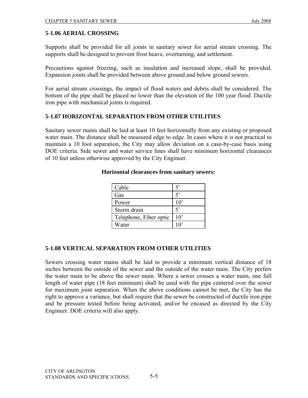# **5-1.06 AERIAL CROSSING**

Supports shall be provided for all joints in sanitary sewer for aerial stream crossing. The supports shall be designed to prevent frost heave, overturning, and settlement.

Precautions against freezing, such as insulation and increased slope, shall be provided. Expansion joints shall be provided between above ground and below ground sewers.

For aerial stream crossings, the impact of flood waters and debris shall be considered. The bottom of the pipe shall be placed no lower than the elevation of the 100 year flood. Ductile iron pipe with mechanical joints is required.

# **5-1.07 HORIZONTAL SEPARATION FROM OTHER UTILITIES**

Sanitary sewer mains shall be laid at least 10 feet horizontally from any existing or proposed water main. The distance shall be measured edge to edge. In cases where it is not practical to maintain a 10 foot separation, the City may allow deviation on a case-by-case basis using DOE criteria. Side sewer and water service lines shall have minimum horizontal clearances of 10 feet unless otherwise approved by the City Engineer.

| Cable                  |                 |
|------------------------|-----------------|
| Gas                    |                 |
| Power                  | $10^{\circ}$    |
| Storm drain            | $\varsigma$     |
| Telephone, Fiber optic | 10 <sup>2</sup> |
| Water                  |                 |

#### **Horizontal clearances from sanitary sewers:**

# **5-1.08 VERTICAL SEPARATION FROM OTHER UTILITIES**

Sewers crossing water mains shall be laid to provide a minimum vertical distance of 18 inches between the outside of the sewer and the outside of the water main. The City prefers the water main to be above the sewer main. Where a sewer crosses a water main, one full length of water pipe (18 feet minimum) shall be used with the pipe centered over the sewer for maximum joint separation. When the above conditions cannot be met, the City has the right to approve a variance, but shall require that the sewer be constructed of ductile iron pipe and be pressure tested before being activated, and/or be encased as directed by the City Engineer. DOE criteria will also apply.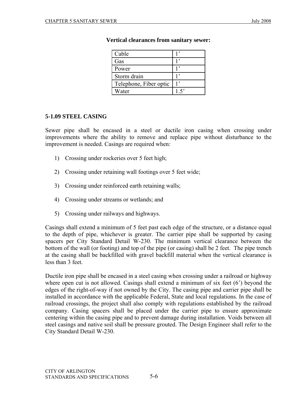| Cable                  |  |
|------------------------|--|
| Gas                    |  |
| Power                  |  |
| Storm drain            |  |
| Telephone, Fiber optic |  |
| Water                  |  |

#### **Vertical clearances from sanitary sewer:**

#### **5-1.09 STEEL CASING**

Sewer pipe shall be encased in a steel or ductile iron casing when crossing under improvements where the ability to remove and replace pipe without disturbance to the improvement is needed. Casings are required when:

- 1) Crossing under rockeries over 5 feet high;
- 2) Crossing under retaining wall footings over 5 feet wide;
- 3) Crossing under reinforced earth retaining walls;
- 4) Crossing under streams or wetlands; and
- 5) Crossing under railways and highways.

Casings shall extend a minimum of 5 feet past each edge of the structure, or a distance equal to the depth of pipe, whichever is greater. The carrier pipe shall be supported by casing spacers per City Standard Detail W-230. The minimum vertical clearance between the bottom of the wall (or footing) and top of the pipe (or casing) shall be 2 feet. The pipe trench at the casing shall be backfilled with gravel backfill material when the vertical clearance is less than 3 feet.

Ductile iron pipe shall be encased in a steel casing when crossing under a railroad or highway where open cut is not allowed. Casings shall extend a minimum of six feet (6') beyond the edges of the right-of-way if not owned by the City. The casing pipe and carrier pipe shall be installed in accordance with the applicable Federal, State and local regulations. In the case of railroad crossings, the project shall also comply with regulations established by the railroad company. Casing spacers shall be placed under the carrier pipe to ensure approximate centering within the casing pipe and to prevent damage during installation. Voids between all steel casings and native soil shall be pressure grouted. The Design Engineer shall refer to the City Standard Detail W-230.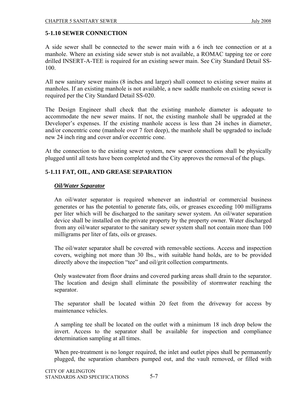# **5-1.10 SEWER CONNECTION**

A side sewer shall be connected to the sewer main with a 6 inch tee connection or at a manhole. Where an existing side sewer stub is not available, a ROMAC tapping tee or core drilled INSERT-A-TEE is required for an existing sewer main. See City Standard Detail SS-100.

All new sanitary sewer mains (8 inches and larger) shall connect to existing sewer mains at manholes. If an existing manhole is not available, a new saddle manhole on existing sewer is required per the City Standard Detail SS-020.

The Design Engineer shall check that the existing manhole diameter is adequate to accommodate the new sewer mains. If not, the existing manhole shall be upgraded at the Developer's expenses. If the existing manhole access is less than 24 inches in diameter, and/or concentric cone (manhole over 7 feet deep), the manhole shall be upgraded to include new 24 inch ring and cover and/or eccentric cone.

At the connection to the existing sewer system, new sewer connections shall be physically plugged until all tests have been completed and the City approves the removal of the plugs.

## **5-1.11 FAT, OIL, AND GREASE SEPARATION**

#### *Oil/Water Separator*

An oil/water separator is required whenever an industrial or commercial business generates or has the potential to generate fats, oils, or greases exceeding 100 milligrams per liter which will be discharged to the sanitary sewer system. An oil/water separation device shall be installed on the private property by the property owner. Water discharged from any oil/water separator to the sanitary sewer system shall not contain more than 100 milligrams per liter of fats, oils or greases.

The oil/water separator shall be covered with removable sections. Access and inspection covers, weighing not more than 30 lbs., with suitable hand holds, are to be provided directly above the inspection "tee" and oil/grit collection compartments.

Only wastewater from floor drains and covered parking areas shall drain to the separator. The location and design shall eliminate the possibility of stormwater reaching the separator.

The separator shall be located within 20 feet from the driveway for access by maintenance vehicles.

A sampling tee shall be located on the outlet with a minimum 18 inch drop below the invert. Access to the separator shall be available for inspection and compliance determination sampling at all times.

When pre-treatment is no longer required, the inlet and outlet pipes shall be permanently plugged, the separation chambers pumped out, and the vault removed, or filled with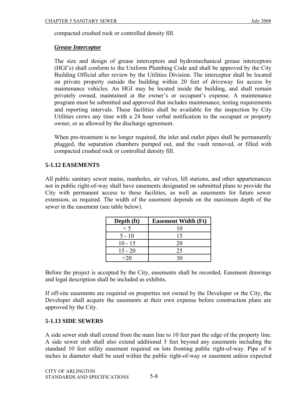compacted crushed rock or controlled density fill.

## *Grease Interceptor*

The size and design of grease interceptors and hydromechanical grease interceptors (HGI's) shall conform to the Uniform Plumbing Code and shall be approved by the City Building Official after review by the Utilities Division. The interceptor shall be located on private property outside the building within 20 feet of driveway for access by maintenance vehicles. An HGI may be located inside the building, and shall remain privately owned, maintained at the owner's or occupant's expense. A maintenance program must be submitted and approved that includes maintenance, testing requirements and reporting intervals. These facilities shall be available for the inspection by City Utilities crews any time with a 24 hour verbal notification to the occupant or property owner, or as allowed by the discharge agreement.

When pre-treatment is no longer required, the inlet and outlet pipes shall be permanently plugged, the separation chambers pumped out, and the vault removed, or filled with compacted crushed rock or controlled density fill.

# **5-1.12 EASEMENTS**

All public sanitary sewer mains, manholes, air valves, lift stations, and other appurtenances not in public right-of-way shall have easements designated on submitted plans to provide the City with permanent access to these facilities, as well as easements for future sewer extension, as required. The width of the easement depends on the maximum depth of the sewer in the easement (see table below).

| Depth (ft) | <b>Easement Width (Ft)</b> |
|------------|----------------------------|
| $\leq 5$   | 10                         |
| $5 - 10$   | 15                         |
| $10 - 15$  | 20                         |
| $15 - 20$  | 25                         |
| >20        |                            |

Before the project is accepted by the City, easements shall be recorded. Easement drawings and legal description shall be included as exhibits.

If off-site easements are required on properties not owned by the Developer or the City, the Developer shall acquire the easements at their own expense before construction plans are approved by the City.

# **5-1.13 SIDE SEWERS**

A side sewer stub shall extend from the main line to 10 feet past the edge of the property line. A side sewer stub shall also extend additional 5 feet beyond any easements including the standard 10 feet utility easement required on lots fronting public right-of-way. Pipe of 6 inches in diameter shall be used within the public right-of-way or easement unless expected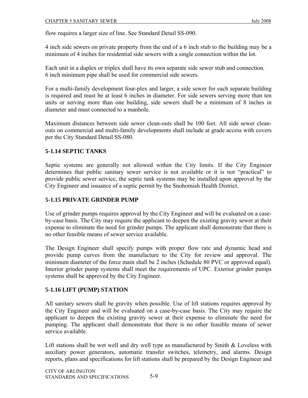flow requires a larger size of line. See Standard Detail SS-090.

4 inch side sewers on private property from the end of a 6 inch stub to the building may be a minimum of 4 inches for residential side sewers with a single connection within the lot.

Each unit in a duplex or triplex shall have its own separate side sewer stub and connection. 6 inch minimum pipe shall be used for commercial side sewers.

For a multi-family development four-plex and larger, a side sewer for each separate building is required and must be at least 6 inches in diameter. For side sewers serving more than ten units or serving more than one building, side sewers shall be a minimum of 8 inches in diameter and must connected to a manhole.

Maximum distances between side sewer clean-outs shall be 100 feet. All side sewer cleanouts on commercial and multi-family developments shall include at grade access with covers per the City Standard Detail SS-080.

# **5-1.14 SEPTIC TANKS**

Septic systems are generally not allowed within the City limits. If the City Engineer determines that public sanitary sewer service is not available or it is not "practical" to provide public sewer service, the septic tank systems may be installed upon approval by the City Engineer and issuance of a septic permit by the Snohomish Health District.

# **5-1.15 PRIVATE GRINDER PUMP**

Use of grinder pumps requires approval by the City Engineer and will be evaluated on a caseby-case basis. The City may require the applicant to deepen the existing gravity sewer at their expense to eliminate the need for grinder pumps. The applicant shall demonstrate that there is no other feasible means of sewer service available.

The Design Engineer shall specify pumps with proper flow rate and dynamic head and provide pump curves from the manufacture to the City for review and approval. The minimum diameter of the force main shall be 2 inches (Schedule 80 PVC or approved equal). Interior grinder pump systems shall meet the requirements of UPC. Exterior grinder pumps systems shall be approved by the City Engineer.

# **5-1.16 LIFT (PUMP) STATION**

All sanitary sewers shall be gravity when possible. Use of lift stations requires approval by the City Engineer and will be evaluated on a case-by-case basis. The City may require the applicant to deepen the existing gravity sewer at their expense to eliminate the need for pumping. The applicant shall demonstrate that there is no other feasible means of sewer service available.

Lift stations shall be wet well and dry well type as manufactured by Smith & Loveless with auxiliary power generators, automatic transfer switches, telemetry, and alarms. Design reports, plans and specifications for lift stations shall be prepared by the Design Engineer and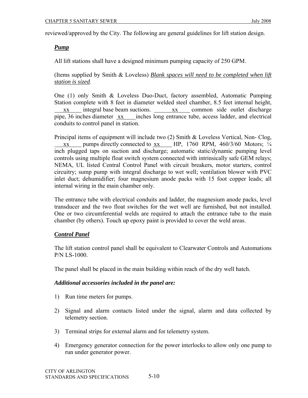reviewed/approved by the City. The following are general guidelines for lift station design.

## *Pump*

All lift stations shall have a designed minimum pumping capacity of 250 GPM.

(Items supplied by Smith & Loveless) *Blank spaces will need to be completed when lift station is sized*.

One (1) only Smith & Loveless Duo-Duct, factory assembled, Automatic Pumping Station complete with 8 feet in diameter welded steel chamber, 8.5 feet internal height, xx integral base beam suctions. xx common side outlet discharge pipe, 36 inches diameter xx inches long entrance tube, access ladder, and electrical conduits to control panel in station.

Principal items of equipment will include two (2) Smith & Loveless Vertical, Non- Clog, xx pumps directly connected to xx HP, 1760 RPM,  $460/3/60$  Motors;  $\frac{1}{4}$ inch plugged taps on suction and discharge; automatic static/dynamic pumping level controls using multiple float switch system connected with intrinsically safe GEM relays; NEMA, UL listed Central Control Panel with circuit breakers, motor starters, control circuitry; sump pump with integral discharge to wet well; ventilation blower with PVC inlet duct; dehumidifier; four magnesium anode packs with 15 foot copper leads; all internal wiring in the main chamber only.

The entrance tube with electrical conduits and ladder, the magnesium anode packs, level transducer and the two float switches for the wet well are furnished, but not installed. One or two circumferential welds are required to attach the entrance tube to the main chamber (by others). Touch up epoxy paint is provided to cover the weld areas.

#### *Control Panel*

The lift station control panel shall be equivalent to Clearwater Controls and Automations P/N LS-1000.

The panel shall be placed in the main building within reach of the dry well hatch.

#### *Additional accessories included in the panel are:*

- 1) Run time meters for pumps.
- 2) Signal and alarm contacts listed under the signal, alarm and data collected by telemetry section.
- 3) Terminal strips for external alarm and for telemetry system.
- 4) Emergency generator connection for the power interlocks to allow only one pump to run under generator power.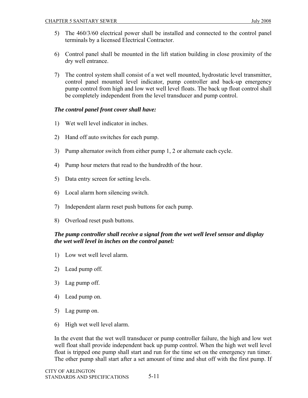- 5) The 460/3/60 electrical power shall be installed and connected to the control panel terminals by a licensed Electrical Contractor.
- 6) Control panel shall be mounted in the lift station building in close proximity of the dry well entrance.
- 7) The control system shall consist of a wet well mounted, hydrostatic level transmitter, control panel mounted level indicator, pump controller and back-up emergency pump control from high and low wet well level floats. The back up float control shall be completely independent from the level transducer and pump control.

## *The control panel front cover shall have:*

- 1) Wet well level indicator in inches.
- 2) Hand off auto switches for each pump.
- 3) Pump alternator switch from either pump 1, 2 or alternate each cycle.
- 4) Pump hour meters that read to the hundredth of the hour.
- 5) Data entry screen for setting levels.
- 6) Local alarm horn silencing switch.
- 7) Independent alarm reset push buttons for each pump.
- 8) Overload reset push buttons.

# *The pump controller shall receive a signal from the wet well level sensor and display the wet well level in inches on the control panel:*

- 1) Low wet well level alarm.
- 2) Lead pump off.
- 3) Lag pump off.
- 4) Lead pump on.
- 5) Lag pump on.
- 6) High wet well level alarm.

In the event that the wet well transducer or pump controller failure, the high and low wet well float shall provide independent back up pump control. When the high wet well level float is tripped one pump shall start and run for the time set on the emergency run timer. The other pump shall start after a set amount of time and shut off with the first pump. If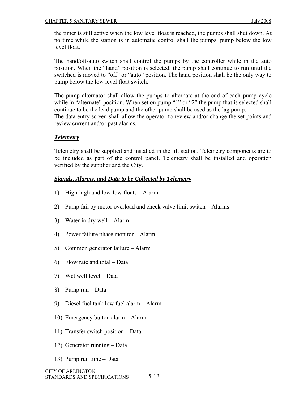the timer is still active when the low level float is reached, the pumps shall shut down. At no time while the station is in automatic control shall the pumps, pump below the low level float.

The hand/off/auto switch shall control the pumps by the controller while in the auto position. When the "hand" position is selected, the pump shall continue to run until the switched is moved to "off" or "auto" position. The hand position shall be the only way to pump below the low level float switch.

The pump alternator shall allow the pumps to alternate at the end of each pump cycle while in "alternate" position. When set on pump "1" or "2" the pump that is selected shall continue to be the lead pump and the other pump shall be used as the lag pump. The data entry screen shall allow the operator to review and/or change the set points and review current and/or past alarms.

## *Telemetry*

Telemetry shall be supplied and installed in the lift station. Telemetry components are to be included as part of the control panel. Telemetry shall be installed and operation verified by the supplier and the City.

## *Signals, Alarms, and Data to be Collected by Telemetry*

- 1) High-high and low-low floats Alarm
- 2) Pump fail by motor overload and check valve limit switch Alarms
- 3) Water in dry well Alarm
- 4) Power failure phase monitor Alarm
- 5) Common generator failure Alarm
- 6) Flow rate and total Data
- 7) Wet well level Data
- 8) Pump run Data
- 9) Diesel fuel tank low fuel alarm Alarm
- 10) Emergency button alarm Alarm
- 11) Transfer switch position Data
- 12) Generator running Data
- 13) Pump run time Data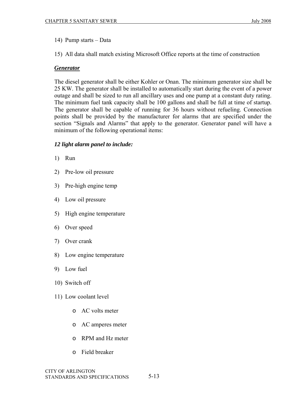- 14) Pump starts Data
- 15) All data shall match existing Microsoft Office reports at the time of construction

#### *Generator*

The diesel generator shall be either Kohler or Onan. The minimum generator size shall be 25 KW. The generator shall be installed to automatically start during the event of a power outage and shall be sized to run all ancillary uses and one pump at a constant duty rating. The minimum fuel tank capacity shall be 100 gallons and shall be full at time of startup. The generator shall be capable of running for 36 hours without refueling. Connection points shall be provided by the manufacturer for alarms that are specified under the section "Signals and Alarms" that apply to the generator. Generator panel will have a minimum of the following operational items:

#### *12 light alarm panel to include:*

- 1) Run
- 2) Pre-low oil pressure
- 3) Pre-high engine temp
- 4) Low oil pressure
- 5) High engine temperature
- 6) Over speed
- 7) Over crank
- 8) Low engine temperature
- 9) Low fuel
- 10) Switch off
- 11) Low coolant level
	- o AC volts meter
	- o AC amperes meter
	- o RPM and Hz meter
	- o Field breaker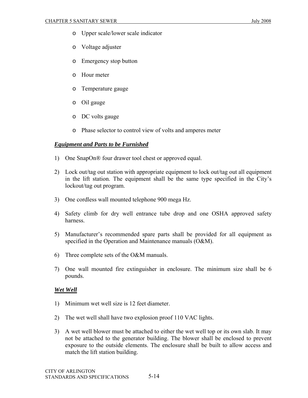- o Upper scale/lower scale indicator
- o Voltage adjuster
- o Emergency stop button
- o Hour meter
- o Temperature gauge
- o Oil gauge
- o DC volts gauge
- o Phase selector to control view of volts and amperes meter

#### *Equipment and Parts to be Furnished*

- 1) One SnapOn® four drawer tool chest or approved equal.
- 2) Lock out/tag out station with appropriate equipment to lock out/tag out all equipment in the lift station. The equipment shall be the same type specified in the City's lockout/tag out program.
- 3) One cordless wall mounted telephone 900 mega Hz.
- 4) Safety climb for dry well entrance tube drop and one OSHA approved safety harness.
- 5) Manufacturer's recommended spare parts shall be provided for all equipment as specified in the Operation and Maintenance manuals (O&M).
- 6) Three complete sets of the O&M manuals.
- 7) One wall mounted fire extinguisher in enclosure. The minimum size shall be 6 pounds.

#### *Wet Well*

- 1) Minimum wet well size is 12 feet diameter.
- 2) The wet well shall have two explosion proof 110 VAC lights.
- 3) A wet well blower must be attached to either the wet well top or its own slab. It may not be attached to the generator building. The blower shall be enclosed to prevent exposure to the outside elements. The enclosure shall be built to allow access and match the lift station building.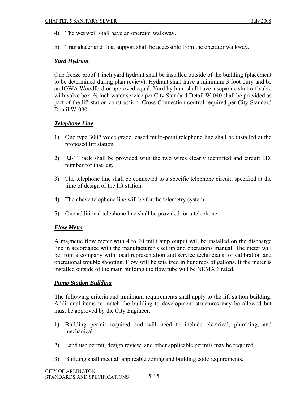- 4) The wet well shall have an operator walkway.
- 5) Transducer and float support shall be accessible from the operator walkway.

## *Yard Hydrant*

One freeze proof 1 inch yard hydrant shall be installed outside of the building (placement to be determined during plan review). Hydrant shall have a minimum 3 foot bury and be an IOWA Woodford or approved equal. Yard hydrant shall have a separate shut off valve with valve box.  $\frac{5}{8}$  inch water service per City Standard Detail W-040 shall be provided as part of the lift station construction. Cross Connection control required per City Standard Detail W-090.

## *Telephone Line*

- 1) One type 3002 voice grade leased multi-point telephone line shall be installed at the proposed lift station.
- 2) RJ-11 jack shall be provided with the two wires clearly identified and circuit I.D. number for that leg.
- 3) The telephone line shall be connected to a specific telephone circuit, specified at the time of design of the lift station.
- 4) The above telephone line will be for the telemetry system.
- 5) One additional telephone line shall be provided for a telephone.

#### *Flow Meter*

A magnetic flow meter with 4 to 20 milli amp output will be installed on the discharge line in accordance with the manufacturer's set up and operations manual. The meter will be from a company with local representation and service technicians for calibration and operational trouble shooting. Flow will be totalized in hundreds of gallons. If the meter is installed outside of the main building the flow tube will be NEMA 6 rated.

#### *Pump Station Building*

The following criteria and minimum requirements shall apply to the lift station building. Additional items to match the building to development structures may be allowed but must be approved by the City Engineer.

- 1) Building permit required and will need to include electrical, plumbing, and mechanical.
- 2) Land use permit, design review, and other applicable permits may be required.
- 3) Building shall meet all applicable zoning and building code requirements.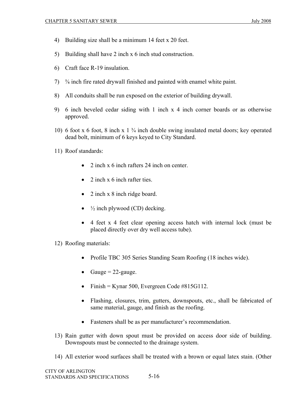- 4) Building size shall be a minimum 14 feet x 20 feet.
- 5) Building shall have 2 inch x 6 inch stud construction.
- 6) Craft face R-19 insulation.
- 7) ⅝ inch fire rated drywall finished and painted with enamel white paint.
- 8) All conduits shall be run exposed on the exterior of building drywall.
- 9) 6 inch beveled cedar siding with 1 inch x 4 inch corner boards or as otherwise approved.
- 10) 6 foot x 6 foot, 8 inch x 1 ¾ inch double swing insulated metal doors; key operated dead bolt, minimum of 6 keys keyed to City Standard.
- 11) Roof standards:
	- 2 inch x 6 inch rafters 24 inch on center.
	- 2 inch  $x$  6 inch rafter ties.
	- 2 inch x 8 inch ridge board.
	- $\frac{1}{2}$  inch plywood (CD) decking.
	- 4 feet x 4 feet clear opening access hatch with internal lock (must be placed directly over dry well access tube).
- 12) Roofing materials:
	- Profile TBC 305 Series Standing Seam Roofing (18 inches wide).
	- Gauge  $= 22$ -gauge.
	- Finish = Kynar 500, Evergreen Code  $\#815G112$ .
	- Flashing, closures, trim, gutters, downspouts, etc., shall be fabricated of same material, gauge, and finish as the roofing.
	- Fasteners shall be as per manufacturer's recommendation.
- 13) Rain gutter with down spout must be provided on access door side of building. Downspouts must be connected to the drainage system.
- 14) All exterior wood surfaces shall be treated with a brown or equal latex stain. (Other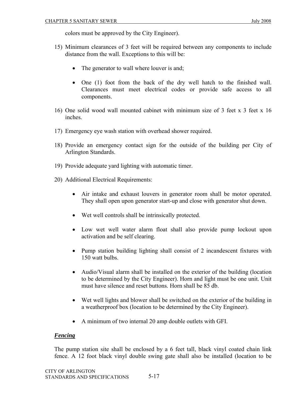colors must be approved by the City Engineer).

- 15) Minimum clearances of 3 feet will be required between any components to include distance from the wall. Exceptions to this will be:
	- The generator to wall where louver is and;
	- One (1) foot from the back of the dry well hatch to the finished wall. Clearances must meet electrical codes or provide safe access to all components.
- 16) One solid wood wall mounted cabinet with minimum size of 3 feet x 3 feet x 16 inches.
- 17) Emergency eye wash station with overhead shower required.
- 18) Provide an emergency contact sign for the outside of the building per City of Arlington Standards.
- 19) Provide adequate yard lighting with automatic timer.
- 20) Additional Electrical Requirements:
	- Air intake and exhaust louvers in generator room shall be motor operated. They shall open upon generator start-up and close with generator shut down.
	- Wet well controls shall be intrinsically protected.
	- Low wet well water alarm float shall also provide pump lockout upon activation and be self clearing.
	- Pump station building lighting shall consist of 2 incandescent fixtures with 150 watt bulbs.
	- Audio/Visual alarm shall be installed on the exterior of the building (location to be determined by the City Engineer). Horn and light must be one unit. Unit must have silence and reset buttons. Horn shall be 85 db.
	- Wet well lights and blower shall be switched on the exterior of the building in a weatherproof box (location to be determined by the City Engineer).
	- A minimum of two internal 20 amp double outlets with GFI.

# *Fencing*

The pump station site shall be enclosed by a 6 feet tall, black vinyl coated chain link fence. A 12 foot black vinyl double swing gate shall also be installed (location to be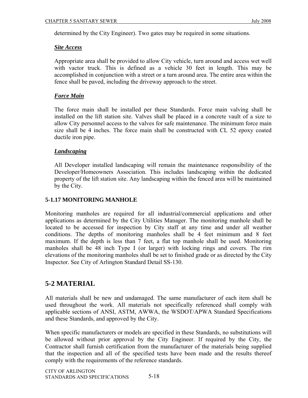determined by the City Engineer). Two gates may be required in some situations.

## *Site Access*

Appropriate area shall be provided to allow City vehicle, turn around and access wet well with vactor truck. This is defined as a vehicle 30 feet in length. This may be accomplished in conjunction with a street or a turn around area. The entire area within the fence shall be paved, including the driveway approach to the street.

# *Force Main*

The force main shall be installed per these Standards. Force main valving shall be installed on the lift station site. Valves shall be placed in a concrete vault of a size to allow City personnel access to the valves for safe maintenance. The minimum force main size shall be 4 inches. The force main shall be constructed with CL 52 epoxy coated ductile iron pipe.

## *Landscaping*

All Developer installed landscaping will remain the maintenance responsibility of the Developer/Homeowners Association. This includes landscaping within the dedicated property of the lift station site. Any landscaping within the fenced area will be maintained by the City.

## **5-1.17 MONITORING MANHOLE**

Monitoring manholes are required for all industrial/commercial applications and other applications as determined by the City Utilities Manager. The monitoring manhole shall be located to be accessed for inspection by City staff at any time and under all weather conditions. The depths of monitoring manholes shall be 4 feet minimum and 8 feet maximum. If the depth is less than 7 feet, a flat top manhole shall be used. Monitoring manholes shall be 48 inch Type I (or larger) with locking rings and covers. The rim elevations of the monitoring manholes shall be set to finished grade or as directed by the City Inspector. See City of Arlington Standard Detail SS-130.

# **5-2 MATERIAL**

All materials shall be new and undamaged. The same manufacturer of each item shall be used throughout the work. All materials not specifically referenced shall comply with applicable sections of ANSI, ASTM, AWWA, the WSDOT/APWA Standard Specifications and these Standards, and approved by the City.

When specific manufacturers or models are specified in these Standards, no substitutions will be allowed without prior approval by the City Engineer. If required by the City, the Contractor shall furnish certification from the manufacturer of the materials being supplied that the inspection and all of the specified tests have been made and the results thereof comply with the requirements of the reference standards.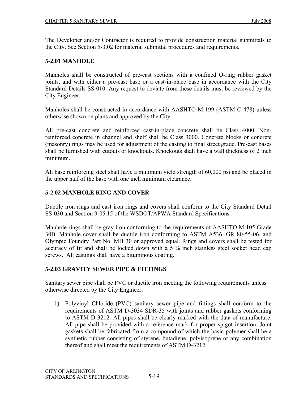The Developer and/or Contractor is required to provide construction material submittals to the City. See Section 5-3.02 for material submittal procedures and requirements.

## **5-2.01 MANHOLE**

Manholes shall be constructed of pre-cast sections with a confined O-ring rubber gasket joints, and with either a pre-cast base or a cast-in-place base in accordance with the City Standard Details SS-010. Any request to deviate from these details must be reviewed by the City Engineer.

Manholes shall be constructed in accordance with AASHTO M-199 (ASTM C 478) unless otherwise shown on plans and approved by the City.

All pre-cast concrete and reinforced cast-in-place concrete shall be Class 4000. Nonreinforced concrete in channel and shelf shall be Class 3000. Concrete blocks or concrete (masonry) rings may be used for adjustment of the casting to final street grade. Pre-cast bases shall be furnished with cutouts or knockouts. Knockouts shall have a wall thickness of 2 inch minimum.

All base reinforcing steel shall have a minimum yield strength of 60,000 psi and be placed in the upper half of the base with one inch minimum clearance.

#### **5-2.02 MANHOLE RING AND COVER**

Ductile iron rings and cast iron rings and covers shall conform to the City Standard Detail SS-030 and Section 9-05.15 of the WSDOT/APWA Standard Specifications.

Manhole rings shall be gray iron conforming to the requirements of AASHTO M 105 Grade 30B. Manhole cover shall be ductile iron conforming to ASTM A536, GR 80-55-06, and Olympic Foundry Part No. MH 30 or approved equal. Rings and covers shall be tested for accuracy of fit and shall be locked down with a  $5\frac{5}{8}$  inch stainless steel socket head cap screws. All castings shall have a bituminous coating.

#### **5-2.03 GRAVITY SEWER PIPE & FITTINGS**

Sanitary sewer pipe shall be PVC or ductile iron meeting the following requirements unless otherwise directed by the City Engineer:

1) Polyvinyl Chloride (PVC) sanitary sewer pipe and fittings shall conform to the requirements of ASTM D-3034 SDR-35 with joints and rubber gaskets conforming to ASTM D 3212. All pipes shall be clearly marked with the data of manufacture. All pipe shall be provided with a reference mark for proper spigot insertion. Joint gaskets shall be fabricated from a compound of which the basic polymer shall be a synthetic rubber consisting of styrene, butadiene, polyisoprene or any combination thereof and shall meet the requirements of ASTM D-3212.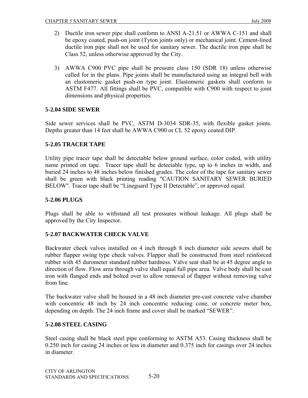- 2) Ductile iron sewer pipe shall conform to ANSI A-21.51 or AWWA C-151 and shall be epoxy coated, push-on joint (Tyton joints only) or mechanical joint. Cement-lined ductile iron pipe shall not be used for sanitary sewer. The ductile iron pipe shall be Class 52, unless otherwise approved by the City.
- 3) AWWA C900 PVC pipe shall be pressure class 150 (SDR 18) unless otherwise called for in the plans. Pipe joints shall be manufactured using an integral bell with an elastomeric gasket push-on type joint. Elastomeric gaskets shall conform to ASTM F477. All fittings shall be PVC, compatible with C900 with respect to joint dimensions and physical properties.

## **5-2.04 SIDE SEWER**

Side sewer services shall be PVC, ASTM D-3034 SDR-35, with flexible gasket joints. Depths greater than 14 feet shall be AWWA C900 or CL 52 epoxy coated DIP.

## **5-2.05 TRACER TAPE**

Utility pipe tracer tape shall be detectable below ground surface, color coded, with utility name printed on tape. Tracer tape shall be detectable type, up to 6 inches in width, and buried 24 inches to 48 inches below finished grades. The color of the tape for sanitary sewer shall be green with black printing reading "CAUTION SANITARY SEWER BURIED BELOW". Tracer tape shall be "Lineguard Type II Detectable", or approved equal.

#### **5-2.06 PLUGS**

Plugs shall be able to withstand all test pressures without leakage. All plugs shall be approved by the City Inspector.

#### **5-2.07 BACKWATER CHECK VALVE**

Backwater check valves installed on 4 inch through 8 inch diameter side sewers shall be rubber flapper swing type check valves. Flapper shall be constructed from steel reinforced rubber with 45 durometer standard rubber hardness. Valve seat shall be at 45 degree angle to direction of flow. Flow area through valve shall equal full pipe area. Valve body shall be cast iron with flanged ends and bolted over to allow removal of flapper without removing valve from line.

The backwater valve shall be housed in a 48 inch diameter pre-cast concrete valve chamber with concentric 48 inch by 24 inch concentric reducing cone, or concrete meter box, depending on depth. The 24 inch frame and cover shall be marked "SEWER".

#### **5-2.08 STEEL CASING**

Steel casing shall be black steel pipe conforming to ASTM A53. Casing thickness shall be 0.250 inch for casing 24 inches or less in diameter and 0.375 inch for casings over 24 inches in diameter.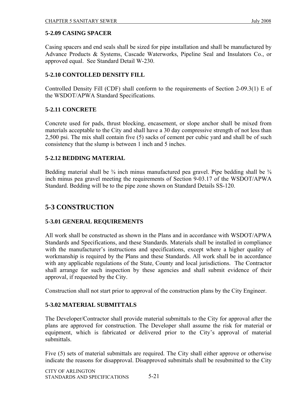## **5-2.09 CASING SPACER**

Casing spacers and end seals shall be sized for pipe installation and shall be manufactured by Advance Products & Systems, Cascade Waterworks, Pipeline Seal and Insulators Co., or approved equal. See Standard Detail W-230.

## **5-2.10 CONTOLLED DENSITY FILL**

Controlled Density Fill (CDF) shall conform to the requirements of Section 2-09.3(1) E of the WSDOT/APWA Standard Specifications.

#### **5-2.11 CONCRETE**

Concrete used for pads, thrust blocking, encasement, or slope anchor shall be mixed from materials acceptable to the City and shall have a 30 day compressive strength of not less than 2,500 psi. The mix shall contain five (5) sacks of cement per cubic yard and shall be of such consistency that the slump is between 1 inch and 5 inches.

#### **5-2.12 BEDDING MATERIAL**

Bedding material shall be  $\frac{3}{8}$  inch minus manufactured pea gravel. Pipe bedding shall be  $\frac{3}{8}$ inch minus pea gravel meeting the requirements of Section 9-03.17 of the WSDOT/APWA Standard. Bedding will be to the pipe zone shown on Standard Details SS-120.

# **5-3 CONSTRUCTION**

#### **5-3.01 GENERAL REQUIREMENTS**

All work shall be constructed as shown in the Plans and in accordance with WSDOT/APWA Standards and Specifications, and these Standards. Materials shall be installed in compliance with the manufacturer's instructions and specifications, except where a higher quality of workmanship is required by the Plans and these Standards. All work shall be in accordance with any applicable regulations of the State, County and local jurisdictions. The Contractor shall arrange for such inspection by these agencies and shall submit evidence of their approval, if requested by the City.

Construction shall not start prior to approval of the construction plans by the City Engineer.

#### **5-3.02 MATERIAL SUBMITTALS**

The Developer/Contractor shall provide material submittals to the City for approval after the plans are approved for construction. The Developer shall assume the risk for material or equipment, which is fabricated or delivered prior to the City's approval of material submittals.

Five (5) sets of material submittals are required. The City shall either approve or otherwise indicate the reasons for disapproval. Disapproved submittals shall be resubmitted to the City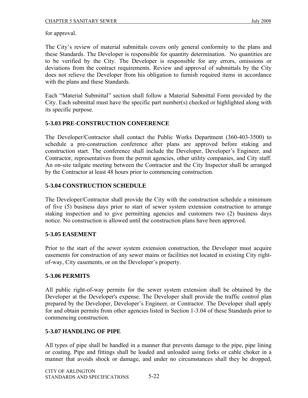for approval.

The City's review of material submittals covers only general conformity to the plans and these Standards. The Developer is responsible for quantity determination. No quantities are to be verified by the City. The Developer is responsible for any errors, omissions or deviations from the contract requirements. Review and approval of submittals by the City does not relieve the Developer from his obligation to furnish required items in accordance with the plans and these Standards.

Each "Material Submittal" section shall follow a Material Submittal Form provided by the City. Each submittal must have the specific part number(s) checked or highlighted along with its specific purpose.

#### **5-3.03 PRE-CONSTRUCTION CONFERENCE**

The Developer/Contractor shall contact the Public Works Department (360-403-3500) to schedule a pre-construction conference after plans are approved before staking and construction start. The conference shall include the Developer, Developer's Engineer, and Contractor, representatives from the permit agencies, other utility companies, and City staff. An on-site tailgate meeting between the Contractor and the City Inspector shall be arranged by the Contractor at least 48 hours prior to commencing construction.

#### **5-3.04 CONSTRUCTION SCHEDULE**

The Developer/Contractor shall provide the City with the construction schedule a minimum of five (5) business days prior to start of sewer system extension construction to arrange staking inspection and to give permitting agencies and customers two (2) business days notice. No construction is allowed until the construction plans have been approved.

#### **5-3.05 EASEMENT**

Prior to the start of the sewer system extension construction, the Developer must acquire easements for construction of any sewer mains or facilities not located in existing City rightof-way, City easements, or on the Developer's property.

#### **5-3.06 PERMITS**

All public right-of-way permits for the sewer system extension shall be obtained by the Developer at the Developer's expense. The Developer shall provide the traffic control plan prepared by the Developer, Developer's Engineer, or Contractor. The Developer shall apply for and obtain permits from other agencies listed in Section 1-3.04 of these Standards prior to commencing construction.

#### **5-3.07 HANDLING OF PIPE**

All types of pipe shall be handled in a manner that prevents damage to the pipe, pipe lining or coating. Pipe and fittings shall be loaded and unloaded using forks or cable choker in a manner that avoids shock or damage, and under no circumstances shall they be dropped,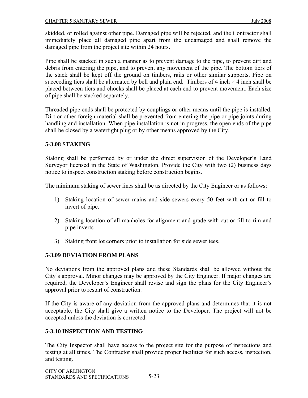skidded, or rolled against other pipe. Damaged pipe will be rejected, and the Contractor shall immediately place all damaged pipe apart from the undamaged and shall remove the damaged pipe from the project site within 24 hours.

Pipe shall be stacked in such a manner as to prevent damage to the pipe, to prevent dirt and debris from entering the pipe, and to prevent any movement of the pipe. The bottom tiers of the stack shall be kept off the ground on timbers, rails or other similar supports. Pipe on succeeding tiers shall be alternated by bell and plain end. Timbers of 4 inch  $\times$  4 inch shall be placed between tiers and chocks shall be placed at each end to prevent movement. Each size of pipe shall be stacked separately.

Threaded pipe ends shall be protected by couplings or other means until the pipe is installed. Dirt or other foreign material shall be prevented from entering the pipe or pipe joints during handling and installation. When pipe installation is not in progress, the open ends of the pipe shall be closed by a watertight plug or by other means approved by the City.

#### **5-3.08 STAKING**

Staking shall be performed by or under the direct supervision of the Developer's Land Surveyor licensed in the State of Washington. Provide the City with two (2) business days notice to inspect construction staking before construction begins.

The minimum staking of sewer lines shall be as directed by the City Engineer or as follows:

- 1) Staking location of sewer mains and side sewers every 50 feet with cut or fill to invert of pipe.
- 2) Staking location of all manholes for alignment and grade with cut or fill to rim and pipe inverts.
- 3) Staking front lot corners prior to installation for side sewer tees.

#### **5-3.09 DEVIATION FROM PLANS**

No deviations from the approved plans and these Standards shall be allowed without the City's approval. Minor changes may be approved by the City Engineer. If major changes are required, the Developer's Engineer shall revise and sign the plans for the City Engineer's approval prior to restart of construction.

If the City is aware of any deviation from the approved plans and determines that it is not acceptable, the City shall give a written notice to the Developer. The project will not be accepted unless the deviation is corrected.

#### **5-3.10 INSPECTION AND TESTING**

The City Inspector shall have access to the project site for the purpose of inspections and testing at all times. The Contractor shall provide proper facilities for such access, inspection, and testing.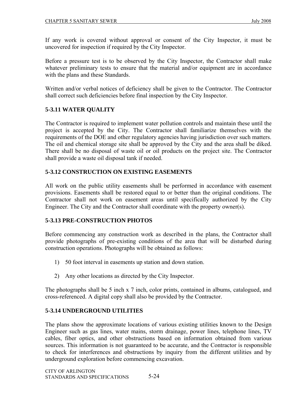If any work is covered without approval or consent of the City Inspector, it must be uncovered for inspection if required by the City Inspector.

Before a pressure test is to be observed by the City Inspector, the Contractor shall make whatever preliminary tests to ensure that the material and/or equipment are in accordance with the plans and these Standards.

Written and/or verbal notices of deficiency shall be given to the Contractor. The Contractor shall correct such deficiencies before final inspection by the City Inspector.

# **5-3.11 WATER QUALITY**

The Contractor is required to implement water pollution controls and maintain these until the project is accepted by the City. The Contractor shall familiarize themselves with the requirements of the DOE and other regulatory agencies having jurisdiction over such matters. The oil and chemical storage site shall be approved by the City and the area shall be diked. There shall be no disposal of waste oil or oil products on the project site. The Contractor shall provide a waste oil disposal tank if needed.

# **5-3.12 CONSTRUCTION ON EXISTING EASEMENTS**

All work on the public utility easements shall be performed in accordance with easement provisions. Easements shall be restored equal to or better than the original conditions. The Contractor shall not work on easement areas until specifically authorized by the City Engineer. The City and the Contractor shall coordinate with the property owner(s).

# **5-3.13 PRE-CONSTRUCTION PHOTOS**

Before commencing any construction work as described in the plans, the Contractor shall provide photographs of pre-existing conditions of the area that will be disturbed during construction operations. Photographs will be obtained as follows:

- 1) 50 foot interval in easements up station and down station.
- 2) Any other locations as directed by the City Inspector.

The photographs shall be 5 inch x 7 inch, color prints, contained in albums, catalogued, and cross-referenced. A digital copy shall also be provided by the Contractor.

# **5-3.14 UNDERGROUND UTILITIES**

The plans show the approximate locations of various existing utilities known to the Design Engineer such as gas lines, water mains, storm drainage, power lines, telephone lines, TV cables, fiber optics, and other obstructions based on information obtained from various sources. This information is not guaranteed to be accurate, and the Contractor is responsible to check for interferences and obstructions by inquiry from the different utilities and by underground exploration before commencing excavation.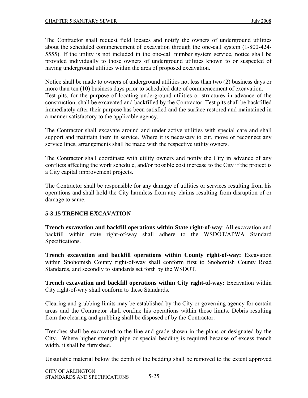The Contractor shall request field locates and notify the owners of underground utilities about the scheduled commencement of excavation through the one-call system (1-800-424- 5555). If the utility is not included in the one-call number system service, notice shall be provided individually to those owners of underground utilities known to or suspected of having underground utilities within the area of proposed excavation.

Notice shall be made to owners of underground utilities not less than two (2) business days or more than ten (10) business days prior to scheduled date of commencement of excavation. Test pits, for the purpose of locating underground utilities or structures in advance of the construction, shall be excavated and backfilled by the Contractor. Test pits shall be backfilled immediately after their purpose has been satisfied and the surface restored and maintained in a manner satisfactory to the applicable agency.

The Contractor shall excavate around and under active utilities with special care and shall support and maintain them in service. Where it is necessary to cut, move or reconnect any service lines, arrangements shall be made with the respective utility owners.

The Contractor shall coordinate with utility owners and notify the City in advance of any conflicts affecting the work schedule, and/or possible cost increase to the City if the project is a City capital improvement projects.

The Contractor shall be responsible for any damage of utilities or services resulting from his operations and shall hold the City harmless from any claims resulting from disruption of or damage to same.

# **5-3.15 TRENCH EXCAVATION**

**Trench excavation and backfill operations within State right-of-way**: All excavation and backfill within state right-of-way shall adhere to the WSDOT/APWA Standard Specifications.

**Trench excavation and backfill operations within County right-of-way:** Excavation within Snohomish County right-of-way shall conform first to Snohomish County Road Standards, and secondly to standards set forth by the WSDOT.

**Trench excavation and backfill operations within City right-of-way:** Excavation within City right-of-way shall conform to these Standards.

Clearing and grubbing limits may be established by the City or governing agency for certain areas and the Contractor shall confine his operations within those limits. Debris resulting from the clearing and grubbing shall be disposed of by the Contractor.

Trenches shall be excavated to the line and grade shown in the plans or designated by the City. Where higher strength pipe or special bedding is required because of excess trench width, it shall be furnished.

Unsuitable material below the depth of the bedding shall be removed to the extent approved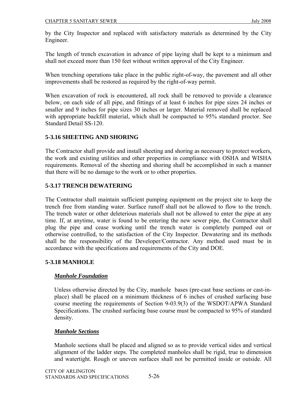by the City Inspector and replaced with satisfactory materials as determined by the City Engineer.

The length of trench excavation in advance of pipe laying shall be kept to a minimum and shall not exceed more than 150 feet without written approval of the City Engineer.

When trenching operations take place in the public right-of-way, the pavement and all other improvements shall be restored as required by the right-of-way permit.

When excavation of rock is encountered, all rock shall be removed to provide a clearance below, on each side of all pipe, and fittings of at least 6 inches for pipe sizes 24 inches or smaller and 9 inches for pipe sizes 30 inches or larger. Material removed shall be replaced with appropriate backfill material, which shall be compacted to 95% standard proctor. See Standard Detail SS-120.

# **5-3.16 SHEETING AND SHORING**

The Contractor shall provide and install sheeting and shoring as necessary to protect workers, the work and existing utilities and other properties in compliance with OSHA and WISHA requirements. Removal of the sheeting and shoring shall be accomplished in such a manner that there will be no damage to the work or to other properties.

## **5-3.17 TRENCH DEWATERING**

The Contractor shall maintain sufficient pumping equipment on the project site to keep the trench free from standing water. Surface runoff shall not be allowed to flow to the trench. The trench water or other deleterious materials shall not be allowed to enter the pipe at any time. If, at anytime, water is found to be entering the new sewer pipe, the Contractor shall plug the pipe and cease working until the trench water is completely pumped out or otherwise controlled, to the satisfaction of the City Inspector. Dewatering and its methods shall be the responsibility of the Developer/Contractor. Any method used must be in accordance with the specifications and requirements of the City and DOE.

#### **5-3.18 MANHOLE**

#### *Manhole Foundation*

Unless otherwise directed by the City, manhole bases (pre-cast base sections or cast-inplace) shall be placed on a minimum thickness of 6 inches of crushed surfacing base course meeting the requirements of Section 9-03.9(3) of the WSDOT/APWA Standard Specifications. The crushed surfacing base course must be compacted to 95% of standard density.

#### *Manhole Sections*

Manhole sections shall be placed and aligned so as to provide vertical sides and vertical alignment of the ladder steps. The completed manholes shall be rigid, true to dimension and watertight. Rough or uneven surfaces shall not be permitted inside or outside. All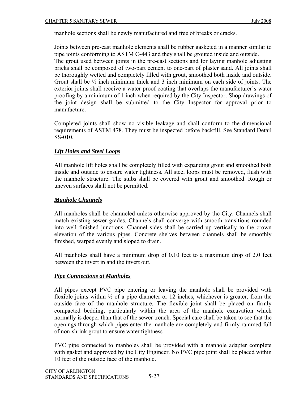manhole sections shall be newly manufactured and free of breaks or cracks.

Joints between pre-cast manhole elements shall be rubber gasketed in a manner similar to pipe joints conforming to ASTM C-443 and they shall be grouted inside and outside. The grout used between joints in the pre-cast sections and for laying manhole adjusting bricks shall be composed of two-part cement to one-part of plaster sand. All joints shall be thoroughly wetted and completely filled with grout, smoothed both inside and outside. Grout shall be ½ inch minimum thick and 3 inch minimum on each side of joints. The exterior joints shall receive a water proof coating that overlaps the manufacturer's water proofing by a minimum of 1 inch when required by the City Inspector. Shop drawings of the joint design shall be submitted to the City Inspector for approval prior to manufacture.

Completed joints shall show no visible leakage and shall conform to the dimensional requirements of ASTM 478. They must be inspected before backfill. See Standard Detail SS-010.

#### *Lift Holes and Steel Loops*

All manhole lift holes shall be completely filled with expanding grout and smoothed both inside and outside to ensure water tightness. All steel loops must be removed, flush with the manhole structure. The stubs shall be covered with grout and smoothed. Rough or uneven surfaces shall not be permitted.

#### *Manhole Channels*

All manholes shall be channeled unless otherwise approved by the City. Channels shall match existing sewer grades. Channels shall converge with smooth transitions rounded into well finished junctions. Channel sides shall be carried up vertically to the crown elevation of the various pipes. Concrete shelves between channels shall be smoothly finished, warped evenly and sloped to drain.

All manholes shall have a minimum drop of 0.10 feet to a maximum drop of 2.0 feet between the invert in and the invert out.

#### *Pipe Connections at Manholes*

All pipes except PVC pipe entering or leaving the manhole shall be provided with flexible joints within  $\frac{1}{2}$  of a pipe diameter or 12 inches, whichever is greater, from the outside face of the manhole structure. The flexible joint shall be placed on firmly compacted bedding, particularly within the area of the manhole excavation which normally is deeper than that of the sewer trench. Special care shall be taken to see that the openings through which pipes enter the manhole are completely and firmly rammed full of non-shrink grout to ensure water tightness.

PVC pipe connected to manholes shall be provided with a manhole adapter complete with gasket and approved by the City Engineer. No PVC pipe joint shall be placed within 10 feet of the outside face of the manhole.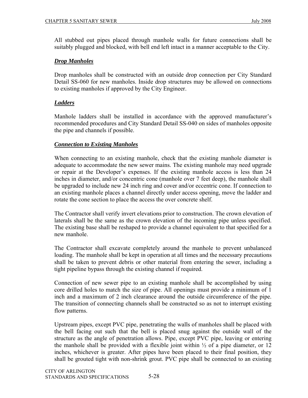All stubbed out pipes placed through manhole walls for future connections shall be suitably plugged and blocked, with bell end left intact in a manner acceptable to the City.

## *Drop Manholes*

Drop manholes shall be constructed with an outside drop connection per City Standard Detail SS-060 for new manholes. Inside drop structures may be allowed on connections to existing manholes if approved by the City Engineer.

# *Ladders*

Manhole ladders shall be installed in accordance with the approved manufacturer's recommended procedures and City Standard Detail SS-040 on sides of manholes opposite the pipe and channels if possible.

## *Connection to Existing Manholes*

When connecting to an existing manhole, check that the existing manhole diameter is adequate to accommodate the new sewer mains. The existing manhole may need upgrade or repair at the Developer's expenses. If the existing manhole access is less than 24 inches in diameter, and/or concentric cone (manhole over 7 feet deep), the manhole shall be upgraded to include new 24 inch ring and cover and/or eccentric cone. If connection to an existing manhole places a channel directly under access opening, move the ladder and rotate the cone section to place the access the over concrete shelf.

The Contractor shall verify invert elevations prior to construction. The crown elevation of laterals shall be the same as the crown elevation of the incoming pipe unless specified. The existing base shall be reshaped to provide a channel equivalent to that specified for a new manhole.

The Contractor shall excavate completely around the manhole to prevent unbalanced loading. The manhole shall be kept in operation at all times and the necessary precautions shall be taken to prevent debris or other material from entering the sewer, including a tight pipeline bypass through the existing channel if required.

Connection of new sewer pipe to an existing manhole shall be accomplished by using core drilled holes to match the size of pipe. All openings must provide a minimum of 1 inch and a maximum of 2 inch clearance around the outside circumference of the pipe. The transition of connecting channels shall be constructed so as not to interrupt existing flow patterns.

Upstream pipes, except PVC pipe, penetrating the walls of manholes shall be placed with the bell facing out such that the bell is placed snug against the outside wall of the structure as the angle of penetration allows. Pipe, except PVC pipe, leaving or entering the manhole shall be provided with a flexible joint within  $\frac{1}{2}$  of a pipe diameter, or 12 inches, whichever is greater. After pipes have been placed to their final position, they shall be grouted tight with non-shrink grout. PVC pipe shall be connected to an existing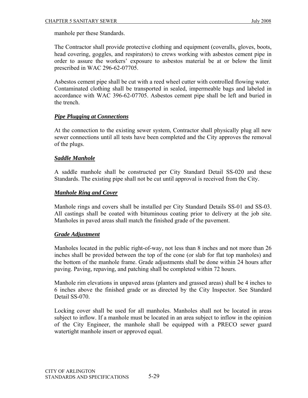manhole per these Standards.

The Contractor shall provide protective clothing and equipment (coveralls, gloves, boots, head covering, goggles, and respirators) to crews working with asbestos cement pipe in order to assure the workers' exposure to asbestos material be at or below the limit prescribed in WAC 296-62-07705.

Asbestos cement pipe shall be cut with a reed wheel cutter with controlled flowing water. Contaminated clothing shall be transported in sealed, impermeable bags and labeled in accordance with WAC 396-62-07705. Asbestos cement pipe shall be left and buried in the trench.

## *Pipe Plugging at Connections*

At the connection to the existing sewer system, Contractor shall physically plug all new sewer connections until all tests have been completed and the City approves the removal of the plugs.

## *Saddle Manhole*

A saddle manhole shall be constructed per City Standard Detail SS-020 and these Standards. The existing pipe shall not be cut until approval is received from the City.

## *Manhole Ring and Cover*

Manhole rings and covers shall be installed per City Standard Details SS-01 and SS-03. All castings shall be coated with bituminous coating prior to delivery at the job site. Manholes in paved areas shall match the finished grade of the pavement.

# *Grade Adjustment*

Manholes located in the public right-of-way, not less than 8 inches and not more than 26 inches shall be provided between the top of the cone (or slab for flat top manholes) and the bottom of the manhole frame. Grade adjustments shall be done within 24 hours after paving. Paving, repaving, and patching shall be completed within 72 hours.

Manhole rim elevations in unpaved areas (planters and grassed areas) shall be 4 inches to 6 inches above the finished grade or as directed by the City Inspector. See Standard Detail SS-070.

Locking cover shall be used for all manholes. Manholes shall not be located in areas subject to inflow. If a manhole must be located in an area subject to inflow in the opinion of the City Engineer, the manhole shall be equipped with a PRECO sewer guard watertight manhole insert or approved equal.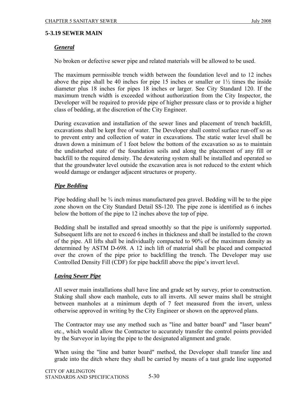#### **5-3.19 SEWER MAIN**

# *General*

No broken or defective sewer pipe and related materials will be allowed to be used.

The maximum permissible trench width between the foundation level and to 12 inches above the pipe shall be 40 inches for pipe 15 inches or smaller or  $1\frac{1}{2}$  times the inside diameter plus 18 inches for pipes 18 inches or larger. See City Standard 120. If the maximum trench width is exceeded without authorization from the City Inspector, the Developer will be required to provide pipe of higher pressure class or to provide a higher class of bedding, at the discretion of the City Engineer.

During excavation and installation of the sewer lines and placement of trench backfill, excavations shall be kept free of water. The Developer shall control surface run-off so as to prevent entry and collection of water in excavations. The static water level shall be drawn down a minimum of 1 foot below the bottom of the excavation so as to maintain the undisturbed state of the foundation soils and along the placement of any fill or backfill to the required density. The dewatering system shall be installed and operated so that the groundwater level outside the excavation area is not reduced to the extent which would damage or endanger adjacent structures or property.

# *Pipe Bedding*

Pipe bedding shall be <sup>3</sup>/<sub>8</sub> inch minus manufactured pea gravel. Bedding will be to the pipe zone shown on the City Standard Detail SS-120. The pipe zone is identified as 6 inches below the bottom of the pipe to 12 inches above the top of pipe.

Bedding shall be installed and spread smoothly so that the pipe is uniformly supported. Subsequent lifts are not to exceed 6 inches in thickness and shall be installed to the crown of the pipe. All lifts shall be individually compacted to 90% of the maximum density as determined by ASTM D-698. A 12 inch lift of material shall be placed and compacted over the crown of the pipe prior to backfilling the trench. The Developer may use Controlled Density Fill (CDF) for pipe backfill above the pipe's invert level.

#### *Laying Sewer Pipe*

All sewer main installations shall have line and grade set by survey, prior to construction. Staking shall show each manhole, cuts to all inverts. All sewer mains shall be straight between manholes at a minimum depth of 7 feet measured from the invert, unless otherwise approved in writing by the City Engineer or shown on the approved plans.

The Contractor may use any method such as "line and batter board" and "laser beam" etc., which would allow the Contractor to accurately transfer the control points provided by the Surveyor in laying the pipe to the designated alignment and grade.

When using the "line and batter board" method, the Developer shall transfer line and grade into the ditch where they shall be carried by means of a taut grade line supported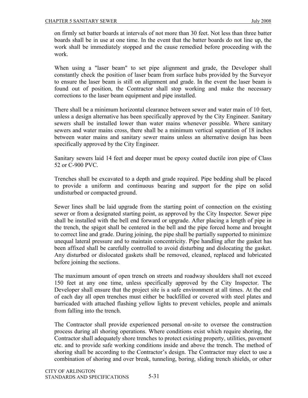on firmly set batter boards at intervals of not more than 30 feet. Not less than three batter boards shall be in use at one time. In the event that the batter boards do not line up, the work shall be immediately stopped and the cause remedied before proceeding with the work.

When using a "laser beam" to set pipe alignment and grade, the Developer shall constantly check the position of laser beam from surface hubs provided by the Surveyor to ensure the laser beam is still on alignment and grade. In the event the laser beam is found out of position, the Contractor shall stop working and make the necessary corrections to the laser beam equipment and pipe installed.

There shall be a minimum horizontal clearance between sewer and water main of 10 feet, unless a design alternative has been specifically approved by the City Engineer. Sanitary sewers shall be installed lower than water mains whenever possible. Where sanitary sewers and water mains cross, there shall be a minimum vertical separation of 18 inches between water mains and sanitary sewer mains unless an alternative design has been specifically approved by the City Engineer.

Sanitary sewers laid 14 feet and deeper must be epoxy coated ductile iron pipe of Class 52 or C-900 PVC.

Trenches shall be excavated to a depth and grade required. Pipe bedding shall be placed to provide a uniform and continuous bearing and support for the pipe on solid undisturbed or compacted ground.

Sewer lines shall be laid upgrade from the starting point of connection on the existing sewer or from a designated starting point, as approved by the City Inspector. Sewer pipe shall be installed with the bell end forward or upgrade. After placing a length of pipe in the trench, the spigot shall be centered in the bell and the pipe forced home and brought to correct line and grade. During joining, the pipe shall be partially supported to minimize unequal lateral pressure and to maintain concentricity. Pipe handling after the gasket has been affixed shall be carefully controlled to avoid disturbing and dislocating the gasket. Any disturbed or dislocated gaskets shall be removed, cleaned, replaced and lubricated before joining the sections.

The maximum amount of open trench on streets and roadway shoulders shall not exceed 150 feet at any one time, unless specifically approved by the City Inspector. The Developer shall ensure that the project site is a safe environment at all times. At the end of each day all open trenches must either be backfilled or covered with steel plates and barricaded with attached flashing yellow lights to prevent vehicles, people and animals from falling into the trench.

The Contractor shall provide experienced personal on-site to oversee the construction process during all shoring operations. Where conditions exist which require shoring, the Contractor shall adequately shore trenches to protect existing property, utilities, pavement etc. and to provide safe working conditions inside and above the trench. The method of shoring shall be according to the Contractor's design. The Contractor may elect to use a combination of shoring and over break, tunneling, boring, sliding trench shields, or other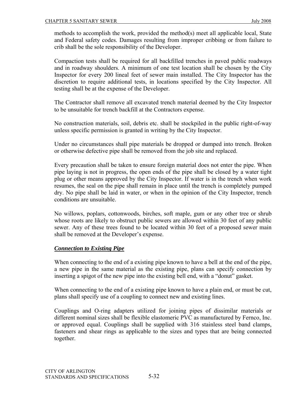methods to accomplish the work, provided the method(s) meet all applicable local, State and Federal safety codes. Damages resulting from improper cribbing or from failure to crib shall be the sole responsibility of the Developer.

Compaction tests shall be required for all backfilled trenches in paved public roadways and in roadway shoulders. A minimum of one test location shall be chosen by the City Inspector for every 200 lineal feet of sewer main installed. The City Inspector has the discretion to require additional tests, in locations specified by the City Inspector. All testing shall be at the expense of the Developer.

The Contractor shall remove all excavated trench material deemed by the City Inspector to be unsuitable for trench backfill at the Contractors expense.

No construction materials, soil, debris etc. shall be stockpiled in the public right-of-way unless specific permission is granted in writing by the City Inspector.

Under no circumstances shall pipe materials be dropped or dumped into trench. Broken or otherwise defective pipe shall be removed from the job site and replaced.

Every precaution shall be taken to ensure foreign material does not enter the pipe. When pipe laying is not in progress, the open ends of the pipe shall be closed by a water tight plug or other means approved by the City Inspector. If water is in the trench when work resumes, the seal on the pipe shall remain in place until the trench is completely pumped dry. No pipe shall be laid in water, or when in the opinion of the City Inspector, trench conditions are unsuitable.

No willows, poplars, cottonwoods, birches, soft maple, gum or any other tree or shrub whose roots are likely to obstruct public sewers are allowed within 30 feet of any public sewer. Any of these trees found to be located within 30 feet of a proposed sewer main shall be removed at the Developer's expense.

#### *Connection to Existing Pipe*

When connecting to the end of a existing pipe known to have a bell at the end of the pipe, a new pipe in the same material as the existing pipe, plans can specify connection by inserting a spigot of the new pipe into the existing bell end, with a "donut" gasket.

When connecting to the end of a existing pipe known to have a plain end, or must be cut, plans shall specify use of a coupling to connect new and existing lines.

Couplings and O-ring adapters utilized for joining pipes of dissimilar materials or different nominal sizes shall be flexible elastomeric PVC as manufactured by Fernco, Inc. or approved equal. Couplings shall be supplied with 316 stainless steel band clamps, fasteners and shear rings as applicable to the sizes and types that are being connected together.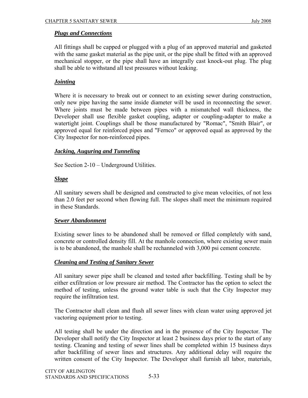## *Plugs and Connections*

All fittings shall be capped or plugged with a plug of an approved material and gasketed with the same gasket material as the pipe unit, or the pipe shall be fitted with an approved mechanical stopper, or the pipe shall have an integrally cast knock-out plug. The plug shall be able to withstand all test pressures without leaking.

## *Jointing*

Where it is necessary to break out or connect to an existing sewer during construction, only new pipe having the same inside diameter will be used in reconnecting the sewer. Where joints must be made between pipes with a mismatched wall thickness, the Developer shall use flexible gasket coupling, adapter or coupling-adapter to make a watertight joint. Couplings shall be those manufactured by "Romac", "Smith Blair", or approved equal for reinforced pipes and "Fernco" or approved equal as approved by the City Inspector for non-reinforced pipes.

## *Jacking, Auguring and Tunneling*

See Section 2-10 – Underground Utilities.

## *Slope*

All sanitary sewers shall be designed and constructed to give mean velocities, of not less than 2.0 feet per second when flowing full. The slopes shall meet the minimum required in these Standards.

#### *Sewer Abandonment*

Existing sewer lines to be abandoned shall be removed or filled completely with sand, concrete or controlled density fill. At the manhole connection, where existing sewer main is to be abandoned, the manhole shall be rechanneled with 3,000 psi cement concrete.

#### *Cleaning and Testing of Sanitary Sewer*

All sanitary sewer pipe shall be cleaned and tested after backfilling. Testing shall be by either exfiltration or low pressure air method. The Contractor has the option to select the method of testing, unless the ground water table is such that the City Inspector may require the infiltration test.

The Contractor shall clean and flush all sewer lines with clean water using approved jet vactoring equipment prior to testing.

All testing shall be under the direction and in the presence of the City Inspector. The Developer shall notify the City Inspector at least 2 business days prior to the start of any testing. Cleaning and testing of sewer lines shall be completed within 15 business days after backfilling of sewer lines and structures. Any additional delay will require the written consent of the City Inspector. The Developer shall furnish all labor, materials,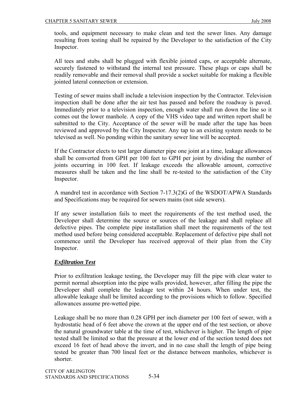tools, and equipment necessary to make clean and test the sewer lines. Any damage resulting from testing shall be repaired by the Developer to the satisfaction of the City Inspector.

All tees and stubs shall be plugged with flexible jointed caps, or acceptable alternate, securely fastened to withstand the internal test pressure. These plugs or caps shall be readily removable and their removal shall provide a socket suitable for making a flexible jointed lateral connection or extension.

Testing of sewer mains shall include a television inspection by the Contractor. Television inspection shall be done after the air test has passed and before the roadway is paved. Immediately prior to a television inspection, enough water shall run down the line so it comes out the lower manhole. A copy of the VHS video tape and written report shall be submitted to the City. Acceptance of the sewer will be made after the tape has been reviewed and approved by the City Inspector. Any tap to an existing system needs to be televised as well. No ponding within the sanitary sewer line will be accepted.

If the Contractor elects to test larger diameter pipe one joint at a time, leakage allowances shall be converted from GPH per 100 feet to GPH per joint by dividing the number of joints occurring in 100 feet. If leakage exceeds the allowable amount, corrective measures shall be taken and the line shall be re-tested to the satisfaction of the City Inspector.

A mandrel test in accordance with Section 7-17.3(2)G of the WSDOT/APWA Standards and Specifications may be required for sewers mains (not side sewers).

If any sewer installation fails to meet the requirements of the test method used, the Developer shall determine the source or sources of the leakage and shall replace all defective pipes. The complete pipe installation shall meet the requirements of the test method used before being considered acceptable. Replacement of defective pipe shall not commence until the Developer has received approval of their plan from the City Inspector.

#### *Exfiltration Test*

Prior to exfiltration leakage testing, the Developer may fill the pipe with clear water to permit normal absorption into the pipe walls provided, however, after filling the pipe the Developer shall complete the leakage test within 24 hours. When under test, the allowable leakage shall be limited according to the provisions which to follow. Specified allowances assume pre-wetted pipe.

Leakage shall be no more than 0.28 GPH per inch diameter per 100 feet of sewer, with a hydrostatic head of 6 feet above the crown at the upper end of the test section, or above the natural groundwater table at the time of test, whichever is higher. The length of pipe tested shall be limited so that the pressure at the lower end of the section tested does not exceed 16 feet of head above the invert, and in no case shall the length of pipe being tested be greater than 700 lineal feet or the distance between manholes, whichever is shorter.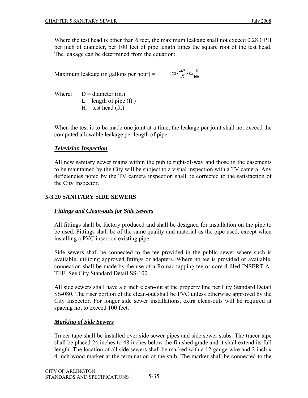Maximum leakage (in gallons per hour)  $=$ 

$$
0.28 \times \frac{\sqrt{H}}{\sqrt{6}} \times Dx \frac{L}{100}
$$

Where:  $D =$  diameter (in.)  $L =$  length of pipe (ft.)  $H = test head (ft.)$ 

When the test is to be made one joint at a time, the leakage per joint shall not exceed the computed allowable leakage per length of pipe.

# *Television Inspection*

All new sanitary sewer mains within the public right-of-way and those in the easements to be maintained by the City will be subject to a visual inspection with a TV camera. Any deficiencies noted by the TV camera inspection shall be corrected to the satisfaction of the City Inspector.

# **5-3.20 SANITARY SIDE SEWERS**

# *Fittings and Clean-outs for Side Sewers*

All fittings shall be factory produced and shall be designed for installation on the pipe to be used. Fittings shall be of the same quality and material as the pipe used, except when installing a PVC insert on existing pipe.

Side sewers shall be connected to the tee provided in the public sewer where such is available, utilizing approved fittings or adapters. Where no tee is provided or available, connection shall be made by the use of a Romac tapping tee or core drilled INSERT-A-TEE. See City Standard Detail SS-100.

All side sewers shall have a 6 inch clean-out at the property line per City Standard Detail SS-080. The riser portion of the clean-out shall be PVC unless otherwise approved by the City Inspector. For longer side sewer installations, extra clean-outs will be required at spacing not to exceed 100 feet.

# *Marking of Side Sewers*

Tracer tape shall be installed over side sewer pipes and side sewer stubs. The tracer tape shall be placed 24 inches to 48 inches below the finished grade and it shall extend its full length. The location of all side sewers shall be marked with a 12 gauge wire and 2 inch x 4 inch wood marker at the termination of the stub. The marker shall be connected to the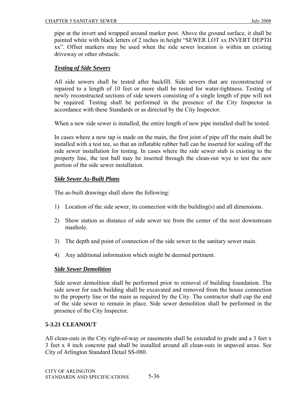pipe at the invert and wrapped around marker post. Above the ground surface, it shall be painted white with black letters of 2 inches in height "SEWER LOT xx INVERT DEPTH xx". Offset markers may be used when the side sewer location is within an existing driveway or other obstacle.

#### *Testing of Side Sewers*

All side sewers shall be tested after backfill. Side sewers that are reconstructed or repaired to a length of 10 feet or more shall be tested for water-tightness. Testing of newly reconstructed sections of side sewers consisting of a single length of pipe will not be required. Testing shall be performed in the presence of the City Inspector in accordance with these Standards or as directed by the City Inspector.

When a new side sewer is installed, the entire length of new pipe installed shall be tested.

In cases where a new tap is made on the main, the first joint of pipe off the main shall be installed with a test tee, so that an inflatable rubber ball can be inserted for sealing off the side sewer installation for testing. In cases where the side sewer stub is existing to the property line, the test ball may be inserted through the clean-out wye to test the new portion of the side sewer installation.

#### *Side Sewer As-Built Plans*

The as-built drawings shall show the following:

- 1) Location of the side sewer, its connection with the building(s) and all dimensions.
- 2) Show station as distance of side sewer tee from the center of the next downstream manhole.
- 3) The depth and point of connection of the side sewer to the sanitary sewer main.
- 4) Any additional information which might be deemed pertinent.

#### *Side Sewer Demolition*

Side sewer demolition shall be performed prior to removal of building foundation. The side sewer for each building shall be excavated and removed from the house connection to the property line or the main as required by the City. The contractor shall cap the end of the side sewer to remain in place. Side sewer demolition shall be performed in the presence of the City Inspector.

#### **5-3.21 CLEANOUT**

All clean-outs in the City right-of-way or easements shall be extended to grade and a 3 feet x 3 feet x 4 inch concrete pad shall be installed around all clean-outs in unpaved areas. See City of Arlington Standard Detail SS-080.